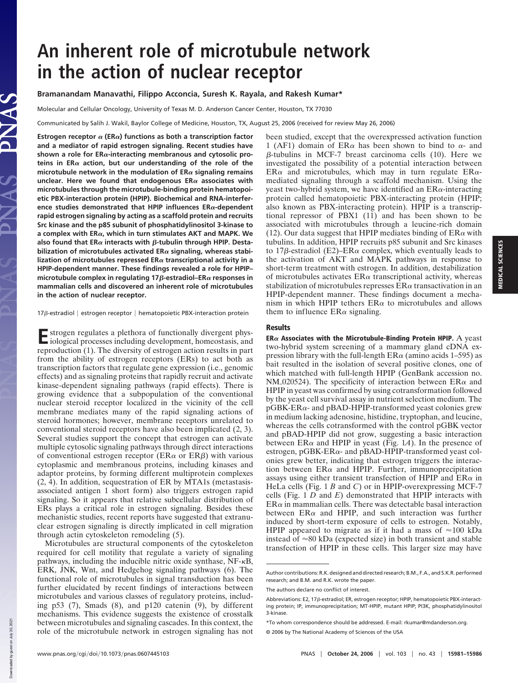# **An inherent role of microtubule network in the action of nuclear receptor**

## **Bramanandam Manavathi, Filippo Acconcia, Suresh K. Rayala, and Rakesh Kumar\***

Molecular and Cellular Oncology, University of Texas M. D. Anderson Cancer Center, Houston, TX 77030

Communicated by Salih J. Wakil, Baylor College of Medicine, Houston, TX, August 25, 2006 (received for review May 26, 2006)

**Estrogen receptor**  $\alpha$  (ER $\alpha$ ) functions as both a transcription factor **and a mediator of rapid estrogen signaling. Recent studies have** shown a role for ER<sub> $\alpha$ -interacting membranous and cytosolic pro-</sub> teins in  $ER\alpha$  action, but our understanding of the role of the microtubule network in the modulation of  $ER\alpha$  signaling remains unclear. Here we found that endogenous  $ER\alpha$  associates with **microtubules through the microtubule-binding protein hematopoietic PBX-interaction protein (HPIP). Biochemical and RNA-interference studies demonstrated that HPIP influences ER-dependent rapid estrogen signaling by acting as a scaffold protein and recruits Src kinase and the p85 subunit of phosphatidylinositol 3-kinase to a complex with ER, which in turn stimulates AKT and MAPK. We** also found that  $ER\alpha$  interacts with  $\beta$ -tubulin through HPIP. Destabilization of microtubules activated ERα signaling, whereas stabilization of microtubules repressed  $ER\alpha$  transcriptional activity in a **HPIP-dependent manner. These findings revealed a role for HPIP– microtubule complex in regulating 17**β-estradiol–ERα responses in **mammalian cells and discovered an inherent role of microtubules in the action of nuclear receptor.**

#### 17 $\beta$ -estradiol | estrogen receptor | hematopoietic PBX-interaction protein

E strogen regulates a plethora of functionally divergent phys-<br>iological processes including development, homeostasis, and iological processes including development, homeostasis, and reproduction (1). The diversity of estrogen action results in part from the ability of estrogen receptors (ERs) to act both as transcription factors that regulate gene expression (i.e., genomic effects) and as signaling proteins that rapidly recruit and activate kinase-dependent signaling pathways (rapid effects). There is growing evidence that a subpopulation of the conventional nuclear steroid receptor localized in the vicinity of the cell membrane mediates many of the rapid signaling actions of steroid hormones; however, membrane receptors unrelated to conventional steroid receptors have also been implicated (2, 3). Several studies support the concept that estrogen can activate multiple cytosolic signaling pathways through direct interactions of conventional estrogen receptor ( $ER\alpha$  or  $ER\beta$ ) with various cytoplasmic and membranous proteins, including kinases and adaptor proteins, by forming different multiprotein complexes (2, 4). In addition, sequestration of ER by MTA1s (metastasisassociated antigen 1 short form) also triggers estrogen rapid signaling. So it appears that relative subcellular distribution of ERs plays a critical role in estrogen signaling. Besides these mechanistic studies, recent reports have suggested that extranuclear estrogen signaling is directly implicated in cell migration through actin cytoskeleton remodeling (5).

Microtubules are structural components of the cytoskeleton required for cell motility that regulate a variety of signaling pathways, including the inducible nitric oxide synthase,  $NF - \kappa B$ , ERK, JNK, Wnt, and Hedgehog signaling pathways (6). The functional role of microtubules in signal transduction has been further elucidated by recent findings of interactions between microtubules and various classes of regulatory proteins, including p53 (7), Smads (8), and p120 catenin (9), by different mechanisms. This evidence suggests the existence of crosstalk between microtubules and signaling cascades. In this context, the role of the microtubule network in estrogen signaling has not

been studied, except that the overexpressed activation function 1 (AF1) domain of ER $\alpha$  has been shown to bind to  $\alpha$ - and  $\beta$ -tubulins in MCF-7 breast carcinoma cells (10). Here we investigated the possibility of a potential interaction between  $ER\alpha$  and microtubules, which may in turn regulate  $ER\alpha$ mediated signaling through a scaffold mechanism. Using the yeast two-hybrid system, we have identified an  $ER\alpha$ -interacting protein called hematopoietic PBX-interacting protein (HPIP; also known as PBX-interacting protein). HPIP is a transcriptional repressor of PBX1 (11) and has been shown to be associated with microtubules through a leucine-rich domain (12). Our data suggest that HPIP mediates binding of  $ER\alpha$  with tubulins. In addition, HPIP recruits p85 subunit and Src kinases to 17 $\beta$ -estradiol (E2)–ER $\alpha$  complex, which eventually leads to the activation of AKT and MAPK pathways in response to short-term treatment with estrogen. In addition, destabilization of microtubules activates  $ER\alpha$  transcriptional activity, whereas stabilization of microtubules represses  $\text{ER}\alpha$  transactivation in an HPIP-dependent manner. These findings document a mechanism in which HPIP tethers  $ER\alpha$  to microtubules and allows them to influence  $ER\alpha$  signaling.

#### **Results**

 $ER\alpha$  Associates with the Microtubule-Binding Protein HPIP. A yeast two-hybrid system screening of a mammary gland cDNA expression library with the full-length  $\text{ER}\alpha$  (amino acids 1–595) as bait resulted in the isolation of several positive clones, one of which matched with full-length HPIP (GenBank accession no. NM\_020524). The specificity of interaction between  $ER\alpha$  and HPIP in yeast was confirmed by using cotransformation followed by the yeast cell survival assay in nutrient selection medium. The pGBK-ER $\alpha$ - and pBAD-HPIP-transformed yeast colonies grew in medium lacking adenosine, histidine, tryptophan, and leucine, whereas the cells cotransformed with the control pGBK vector and pBAD-HPIP did not grow, suggesting a basic interaction between  $ER\alpha$  and HPIP in yeast (Fig. 1*A*). In the presence of estrogen,  $pGBK-ER\alpha$ - and  $pBAD-HPIP$ -transformed yeast colonies grew better, indicating that estrogen triggers the interaction between  $ER\alpha$  and HPIP. Further, immunoprecipitation assays using either transient transfection of HPIP and  $ER\alpha$  in HeLa cells (Fig. 1 *B* and *C*) or in HPIP-overexpressing MCF-7 cells (Fig. 1 *D* and *E*) demonstrated that HPIP interacts with  $ER\alpha$  in mammalian cells. There was detectable basal interaction between  $ER\alpha$  and HPIP, and such interaction was further induced by short-term exposure of cells to estrogen. Notably, HPIP appeared to migrate as if it had a mass of  $\approx 100$  kDa instead of  $\approx 80$  kDa (expected size) in both transient and stable transfection of HPIP in these cells. This larger size may have

Author contributions: R.K. designed and directed research; B.M., F.A., and S.K.R. performed research; and B.M. and R.K. wrote the paper.

The authors declare no conflict of interest.

Abbreviations: E2, 17 $\beta$ -estradiol; ER, estrogen receptor; HPIP, hematopoietic PBX-interacting protein; IP, immunoprecipitation; MT-HPIP, mutant HPIP; PI3K, phosphatidylinositol 3-kinase.

<sup>\*</sup>To whom correspondence should be addressed. E-mail: rkumar@mdanderson.org.

<sup>© 2006</sup> by The National Academy of Sciences of the USA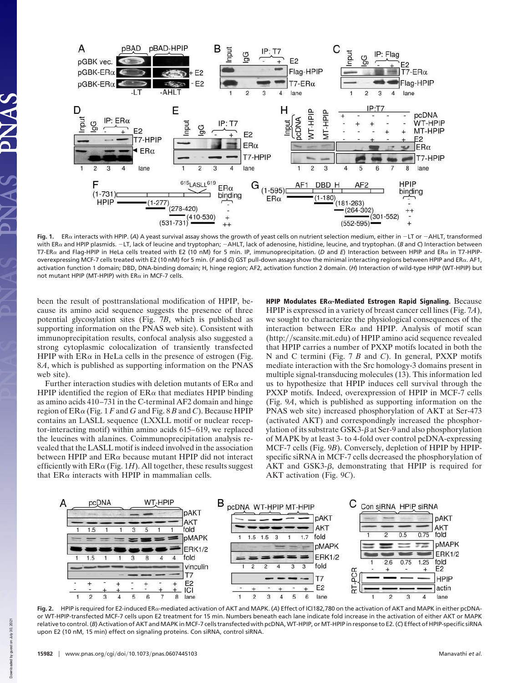

Fig. 1. ER<sub>«</sub> interacts with HPIP. (A) A yeast survival assay shows the growth of yeast cells on nutrient selection medium, either in -LT or -AHLT, transformed with ER<sub>«</sub> and HPIP plasmids. -LT, lack of leucine and tryptophan; -AHLT, lack of adenosine, histidine, leucine, and tryptophan. (B and C) Interaction between T7-ERα and Flag-HPIP in HeLa cells treated with E2 (10 nM) for 5 min. IP, immunoprecipitation. (D and E) Interaction between HPIP and ERα in T7-HPIPoverexpressing MCF-7 cells treated with E2 (10 nM) for 5 min. (F and G) GST pull-down assays show the minimal interacting regions between HPIP and ERa. AF1, activation function 1 domain; DBD, DNA-binding domain; H, hinge region; AF2, activation function 2 domain. (*H*) Interaction of wild-type HPIP (WT-HPIP) but not mutant HPIP (MT-HPIP) with  $ER\alpha$  in MCF-7 cells.

been the result of posttranslational modification of HPIP, because its amino acid sequence suggests the presence of three potential glycosylation sites (Fig. 7*B*, which is published as supporting information on the PNAS web site). Consistent with immunoprecipitation results, confocal analysis also suggested a strong cytoplasmic colocalization of transiently transfected HPIP with  $ER\alpha$  in HeLa cells in the presence of estrogen (Fig. 8*A*, which is published as supporting information on the PNAS web site).

Further interaction studies with deletion mutants of  $ER\alpha$  and HPIP identified the region of  $ER\alpha$  that mediates HPIP binding as amino acids 410–731 in the C-terminal AF2 domain and hinge region of  $\text{ER}\alpha$  (Fig. 1 *F* and *G* and Fig. 8 *B* and *C*). Because HPIP contains an LASLL sequence (LXXLL motif or nuclear receptor-interacting motif) within amino acids 615–619, we replaced the leucines with alanines. Coimmunoprecipitation analysis revealed that the LASLL motif is indeed involved in the association between HPIP and  $ER\alpha$  because mutant HPIP did not interact efficiently with  $ER\alpha$  (Fig. 1*H*). All together, these results suggest that  $ER\alpha$  interacts with HPIP in mammalian cells.

HPIP Modulates  $ER\alpha$ -Mediated Estrogen Rapid Signaling. Because HPIP is expressed in a variety of breast cancer cell lines (Fig. 7*A*), we sought to characterize the physiological consequences of the interaction between  $ER\alpha$  and HPIP. Analysis of motif scan (http://scansite.mit.edu) of HPIP amino acid sequence revealed that HPIP carries a number of PXXP motifs located in both the N and C termini (Fig. 7 *B* and *C*). In general, PXXP motifs mediate interaction with the Src homology-3 domains present in multiple signal-transducing molecules (13). This information led us to hypothesize that HPIP induces cell survival through the PXXP motifs. Indeed, overexpression of HPIP in MCF-7 cells (Fig. 9*A*, which is published as supporting information on the PNAS web site) increased phosphorylation of AKT at Ser-473 (activated AKT) and correspondingly increased the phosphorylation of its substrate  $GSK3-\beta$  at Ser-9 and also phosphorylation of MAPK by at least 3- to 4-fold over control pcDNA-expressing MCF-7 cells (Fig. 9*B*). Conversely, depletion of HPIP by HPIPspecific siRNA in MCF-7 cells decreased the phosphorylation of AKT and GSK3- $\beta$ , demonstrating that HPIP is required for AKT activation (Fig. 9*C*).



**Fig. 2.** HPIP is required for E2-induced ER $\alpha$ -mediated activation of AKT and MAPK. (A) Effect of ICI182,780 on the activation of AKT and MAPK in either pcDNAor WT-HPIP-transfected MCF-7 cells upon E2 treatment for 15 min. Numbers beneath each lane indicate fold increase in the activation of either AKT or MAPK relative to control. (*B*) Activation of AKT and MAPK in MCF-7 cells transfected with pcDNA, WT-HPIP, or MT-HPIP in response to E2. (*C*) Effect of HPIP-specific siRNA upon E2 (10 nM, 15 min) effect on signaling proteins. Con siRNA, control siRNA.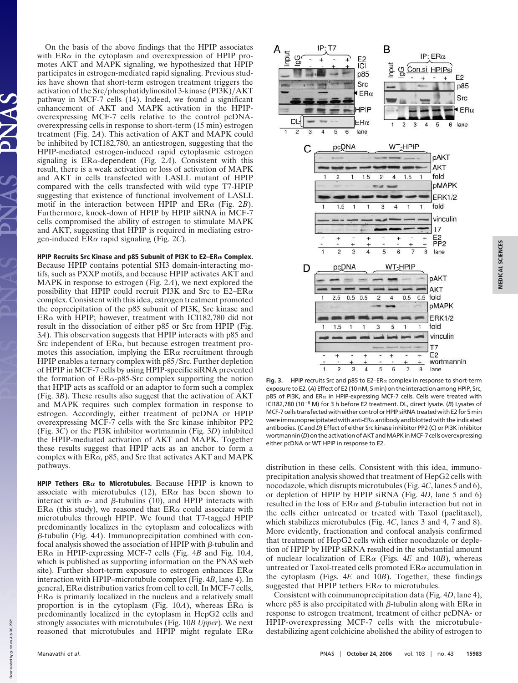On the basis of the above findings that the HPIP associates with  $ER\alpha$  in the cytoplasm and overexpression of HPIP promotes AKT and MAPK signaling, we hypothesized that HPIP participates in estrogen-mediated rapid signaling. Previous studies have shown that short-term estrogen treatment triggers the activation of the Src/phosphatidylinositol 3-kinase (PI3K)/AKT pathway in MCF-7 cells (14). Indeed, we found a significant enhancement of AKT and MAPK activation in the HPIPoverexpressing MCF-7 cells relative to the control pcDNAoverexpressing cells in response to short-term (15 min) estrogen treatment (Fig. 2*A*). This activation of AKT and MAPK could be inhibited by ICI182,780, an antiestrogen, suggesting that the HPIP-mediated estrogen-induced rapid cytoplasmic estrogen signaling is  $ER\alpha$ -dependent (Fig. 2A). Consistent with this result, there is a weak activation or loss of activation of MAPK and AKT in cells transfected with LASLL mutant of HPIP compared with the cells transfected with wild type T7-HPIP suggesting that existence of functional involvement of LASLL motif in the interaction between HPIP and  $ER\alpha$  (Fig. 2*B*). Furthermore, knock-down of HPIP by HPIP siRNA in MCF-7 cells compromised the ability of estrogen to stimulate MAPK and AKT, suggesting that HPIP is required in mediating estrogen-induced ERα rapid signaling (Fig. 2*C*).

HPIP Recruits Src Kinase and p85 Subunit of PI3K to E2-ER $\alpha$  Complex. Because HPIP contains potential SH3 domain-interacting motifs, such as PXXP motifs, and because HPIP activates AKT and MAPK in response to estrogen (Fig. 2*A*), we next explored the possibility that HPIP could recruit PI3K and Src to E2–ER $\alpha$ complex. Consistent with this idea, estrogen treatment promoted the coprecipitation of the p85 subunit of PI3K, Src kinase and  $ER\alpha$  with HPIP; however, treatment with ICI182,780 did not result in the dissociation of either p85 or Src from HPIP (Fig. 3*A*). This observation suggests that HPIP interacts with p85 and Src independent of  $ER\alpha$ , but because estrogen treatment promotes this association, implying the  $ER\alpha$  recruitment through HPIP enables a ternary complex with p85/Src. Further depletion of HPIP in MCF-7 cells by using HPIP-specific siRNA prevented the formation of  $ER\alpha$ -p85-Src complex supporting the notion that HPIP acts as scaffold or an adaptor to form such a complex (Fig. 3*B*). These results also suggest that the activation of AKT and MAPK requires such complex formation in response to estrogen. Accordingly, either treatment of pcDNA or HPIP overexpressing MCF-7 cells with the Src kinase inhibitor PP2 (Fig. 3*C*) or the PI3K inhibitor wortmannin (Fig. 3*D*) inhibited the HPIP-mediated activation of AKT and MAPK. Together these results suggest that HPIP acts as an anchor to form a complex with  $ER\alpha$ , p85, and Src that activates AKT and MAPK pathways.

HPIP Tethers ER $\alpha$  to Microtubules. Because HPIP is known to associate with microtubules (12),  $ER\alpha$  has been shown to interact with  $\alpha$ - and  $\beta$ -tubulins (10), and HPIP interacts with ER $\alpha$  (this study), we reasoned that ER $\alpha$  could associate with microtubules through HPIP. We found that T7-tagged HPIP predominantly localizes in the cytoplasm and colocalizes with  $\beta$ -tubulin (Fig. 4*A*). Immunoprecipitation combined with confocal analysis showed the association of HPIP with  $\beta$ -tubulin and  $ER\alpha$  in HPIP-expressing MCF-7 cells (Fig. 4*B* and Fig. 10*A*, which is published as supporting information on the PNAS web site). Further short-term exposure to estrogen enhances  $ER\alpha$ interaction with HPIP–microtubule complex (Fig. 4*B*, lane 4). In general,  $ER\alpha$  distribution varies from cell to cell. In MCF-7 cells,  $ER\alpha$  is primarily localized in the nucleus and a relatively small proportion is in the cytoplasm (Fig.  $10A$ ), whereas  $ER\alpha$  is predominantly localized in the cytoplasm in HepG2 cells and strongly associates with microtubules (Fig. 10*B Upper*). We next reasoned that microtubules and HPIP might regulate  $ER\alpha$ 



**MEDICAL SCIENCES** MEDICAL SCIENCES

**Fig. 3.** HPIP recruits Src and p85 to E2–ER $\alpha$  complex in response to short-term exposure to E2. (*A*) Effect of E2 (10 nM, 5 min) on the interaction among HPIP, Src, p85 of PI3K, and ER $\alpha$  in HPIP-expressing MCF-7 cells. Cells were treated with ICI182,780 (10-<sup>8</sup> M) for 3 h before E2 treatment. DL, direct lysate. (*B*) Lysates of MCF-7 cells transfected with either control or HPIP siRNA treated with E2 for 5 min were immunoprecipitated with anti-ER $\alpha$  antibody and blotted with the indicated antibodies. (*C* and *D*) Effect of either Src kinase inhibitor PP2 (*C*) or PI3K inhibitor wortmannin(D) on the activation of AKT and MAPK in MCF-7 cells overexpressing either pcDNA or WT HPIP in response to E2.

distribution in these cells. Consistent with this idea, immunoprecipitation analysis showed that treatment of HepG2 cells with nocodazole, which disrupts microtubules (Fig. 4*C*, lanes 5 and 6), or depletion of HPIP by HPIP siRNA (Fig. 4*D*, lane 5 and 6) resulted in the loss of  $ER\alpha$  and  $\beta$ -tubulin interaction but not in the cells either untreated or treated with Taxol (paclitaxel), which stabilizes microtubules (Fig.  $4C$ , lanes 3 and  $\overline{4}$ , 7 and 8). More evidently, fractionation and confocal analysis confirmed that treatment of HepG2 cells with either nocodazole or depletion of HPIP by HPIP siRNA resulted in the substantial amount of nuclear localization of  $ER\alpha$  (Figs. 4*E* and 10*B*), whereas untreated or Taxol-treated cells promoted  $ER\alpha$  accumulation in the cytoplasm (Figs. 4*E* and 10*B*). Together, these findings suggested that HPIP tethers  $ER\alpha$  to microtubules.

Consistent with coimmunoprecipitation data (Fig. 4*D*, lane 4), where p85 is also precipitated with β-tubulin along with ER $\alpha$  in response to estrogen treatment, treatment of either pcDNA- or HPIP-overexpressing MCF-7 cells with the microtubuledestabilizing agent colchicine abolished the ability of estrogen to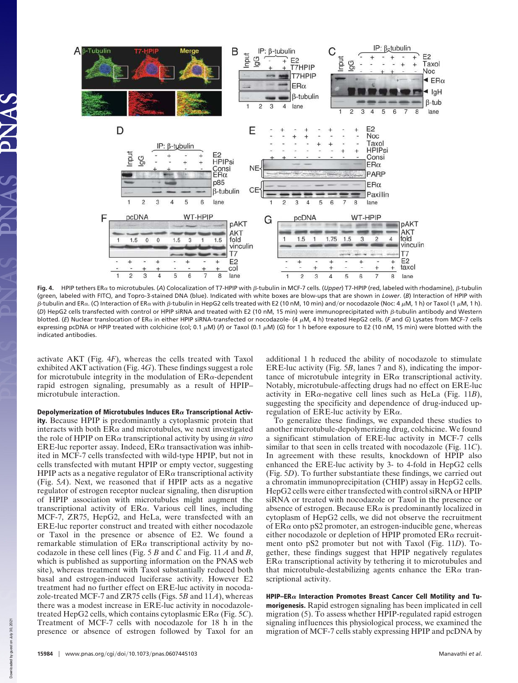

**Fig. 4.** HPIP tethers ERα to microtubules. (A) Colocalization of T7-HPIP with β-tubulin in MCF-7 cells. (*Upper*) T7-HPIP (red, labeled with rhodamine), β-tubulin (green, labeled with FITC), and Topro-3-stained DNA (blue). Indicated with white boxes are blow-ups that are shown in *Lower*. (*B*) Interaction of HPIP with β-tubulin and ERα. (C) Interaction of ERα with β-tubulin in HepG2 cells treated with E2 (10 nM, 10 min) and/or nocodazole (Noc: 4 μM, 1 h) or Taxol (1 μM, 1 h). (D) HepG2 cells transfected with control or HPIP siRNA and treated with E2 (10 nM, 15 min) were immunoprecipitated with  $\beta$ -tubulin antibody and Western blotted. (E) Nuclear translocation of ERα in either HPIP siRNA-transfected or nocodazole- (4 μM, 4 h) treated HepG2 cells. (F and G) Lysates from MCF-7 cells expressing pcDNA or HPIP treated with colchicine (col; 0.1 μM) (*F*) or Taxol (0.1 μM) (G) for 1 h before exposure to E2 (10 nM, 15 min) were blotted with the indicated antibodies.

activate AKT (Fig. 4*F*), whereas the cells treated with Taxol exhibited AKT activation (Fig. 4*G*). These findings suggest a role for microtubule integrity in the modulation of  $ER\alpha$ -dependent rapid estrogen signaling, presumably as a result of HPIP– microtubule interaction.

Depolymerization of Microtubules Induces  $ER\alpha$  Transcriptional Activity. Because HPIP is predominantly a cytoplasmic protein that interacts with both  $ER\alpha$  and microtubules, we next investigated the role of HPIP on  $ER\alpha$  transcriptional activity by using *in vitro*  $ERE$ -luc reporter assay. Indeed,  $ER\alpha$  transactivation was inhibited in MCF-7 cells transfected with wild-type HPIP, but not in cells transfected with mutant HPIP or empty vector, suggesting HPIP acts as a negative regulator of  $\text{ER}\alpha$  transcriptional activity (Fig. 5*A*). Next, we reasoned that if HPIP acts as a negative regulator of estrogen receptor nuclear signaling, then disruption of HPIP association with microtubules might augment the transcriptional activity of  $ER\alpha$ . Various cell lines, including MCF-7, ZR75, HepG2, and HeLa, were transfected with an ERE-luc reporter construct and treated with either nocodazole or Taxol in the presence or absence of E2. We found a remarkable stimulation of  $ER\alpha$  transcriptional activity by nocodazole in these cell lines (Fig. 5 *B* and *C* and Fig. 11 *A* and *B*, which is published as supporting information on the PNAS web site), whereas treatment with Taxol substantially reduced both basal and estrogen-induced luciferase activity. However E2 treatment had no further effect on ERE-luc activity in nocodazole-treated MCF-7 and ZR75 cells (Figs. 5*B* and 11*A*), whereas there was a modest increase in ERE-luc activity in nocodazoletreated HepG2 cells, which contains cytoplasmic ERα (Fig. 5*C*). Treatment of MCF-7 cells with nocodazole for 18 h in the presence or absence of estrogen followed by Taxol for an

additional 1 h reduced the ability of nocodazole to stimulate ERE-luc activity (Fig. 5*B*, lanes 7 and 8), indicating the importance of microtubule integrity in  $ER\alpha$  transcriptional activity. Notably, microtubule-affecting drugs had no effect on ERE-luc activity in  $ER\alpha$ -negative cell lines such as HeLa (Fig. 11*B*), suggesting the specificity and dependence of drug-induced upregulation of ERE-luc activity by  $ER\alpha$ .

To generalize these findings, we expanded these studies to another microtubule-depolymerizing drug, colchicine. We found a significant stimulation of ERE-luc activity in MCF-7 cells similar to that seen in cells treated with nocodazole (Fig. 11*C*). In agreement with these results, knockdown of HPIP also enhanced the ERE-luc activity by 3- to 4-fold in HepG2 cells (Fig. 5*D*). To further substantiate these findings, we carried out a chromatin immunoprecipitation (CHIP) assay in HepG2 cells. HepG2 cells were either transfected with control siRNA or HPIP siRNA or treated with nocodazole or Taxol in the presence or absence of estrogen. Because  $ER\alpha$  is predominantly localized in cytoplasm of HepG2 cells, we did not observe the recruitment of  $ER\alpha$  onto pS2 promoter, an estrogen-inducible gene, whereas either nocodazole or depletion of HPIP promoted  $ER\alpha$  recruitment onto pS2 promoter but not with Taxol (Fig. 11*D*). Together, these findings suggest that HPIP negatively regulates  $ER\alpha$  transcriptional activity by tethering it to microtubules and that microtubule-destabilizing agents enhance the  $ER\alpha$  transcriptional activity.

HPIP–ER $\alpha$  Interaction Promotes Breast Cancer Cell Motility and Tumorigenesis. Rapid estrogen signaling has been implicated in cell migration (5). To assess whether HPIP-regulated rapid estrogen signaling influences this physiological process, we examined the migration of MCF-7 cells stably expressing HPIP and pcDNA by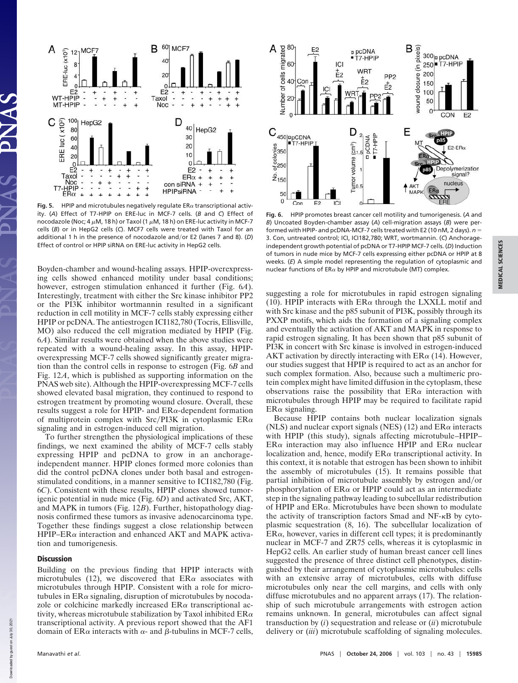

**Fig. 5.** HPIP and microtubules negatively regulate  $ER\alpha$  transcriptional activity. (*A*) Effect of T7-HPIP on ERE-luc in MCF-7 cells. (*B* and *C*) Effect of nocodazole (Noc; 4  $\mu$ M, 18 h) or Taxol (1  $\mu$ M, 18 h) on ERE-luc activity in MCF-7 cells (*B*) or in HepG2 cells (*C*). MCF7 cells were treated with Taxol for an additional 1 h in the presence of nocodazole and-or E2 (lanes 7 and 8). (*D*) Effect of control or HPIP siRNA on ERE-luc activity in HepG2 cells.

Boyden-chamber and wound-healing assays. HPIP-overexpressing cells showed enhanced motility under basal conditions; however, estrogen stimulation enhanced it further (Fig. 6*A*). Interestingly, treatment with either the Src kinase inhibitor PP2 or the PI3K inhibitor wortmannin resulted in a significant reduction in cell motility in MCF-7 cells stably expressing either HPIP or pcDNA. The antiestrogen ICI182,780 (Tocris, Ellisville, MO) also reduced the cell migration mediated by HPIP (Fig. 6*A*). Similar results were obtained when the above studies were repeated with a wound-healing assay. In this assay, HPIPoverexpressing MCF-7 cells showed significantly greater migration than the control cells in response to estrogen (Fig. 6*B* and Fig. 12*A*, which is published as supporting information on the PNAS web site). Although the HPIP-overexpressing MCF-7 cells showed elevated basal migration, they continued to respond to estrogen treatment by promoting wound closure. Overall, these results suggest a role for HPIP- and  $ER\alpha$ -dependent formation of multiprotein complex with Src/PI3K in cytoplasmic  $ER\alpha$ signaling and in estrogen-induced cell migration.

To further strengthen the physiological implications of these findings, we next examined the ability of MCF-7 cells stably expressing HPIP and pcDNA to grow in an anchorageindependent manner. HPIP clones formed more colonies than did the control pcDNA clones under both basal and estrogenstimulated conditions, in a manner sensitive to ICI182,780 (Fig. 6*C*). Consistent with these results, HPIP clones showed tumorigenic potential in nude mice (Fig. 6*D*) and activated Src, AKT, and MAPK in tumors (Fig. 12*B*). Further, histopathology diagnosis confirmed these tumors as invasive adenocarcinoma type. Together these findings suggest a close relationship between  $HPIP-ER\alpha$  interaction and enhanced AKT and MAPK activation and tumorigenesis.

### **Discussion**

Building on the previous finding that HPIP interacts with microtubules (12), we discovered that  $ER\alpha$  associates with microtubules through HPIP. Consistent with a role for microtubules in  $ER\alpha$  signaling, disruption of microtubules by nocodazole or colchicine markedly increased  $ER\alpha$  transcriptional activity, whereas microtubule stabilization by Taxol inhibited  $\text{ER}\alpha$ transcriptional activity. A previous report showed that the AF1 domain of  $ER\alpha$  interacts with  $\alpha$ - and  $\beta$ -tubulins in MCF-7 cells,



**Fig. 6.** HPIP promotes breast cancer cell motility and tumorigenesis. (*A* and *B*) Uncoated Boyden-chamber assay (*A*) cell-migration assays (*B*) were performed with HPIP- and pcDNA-MCF-7 cells treated with E2 (10 nM, 2 days). *n* 3. Con, untreated control; ICI, ICI182,780; WRT, wortmannin. (*C*) Anchorageindependent growth potential of pcDNA or T7-HPIP MCF-7 cells. (*D*) Induction of tumors in nude mice by MCF-7 cells expressing either pcDNA or HPIP at 8 weeks. (*E*) A simple model representing the regulation of cytoplasmic and nuclear functions of ER $\alpha$  by HPIP and microtubule (MT) complex.

suggesting a role for microtubules in rapid estrogen signaling (10). HPIP interacts with  $ER\alpha$  through the LXXLL motif and with Src kinase and the p85 subunit of PI3K, possibly through its PXXP motifs, which aids the formation of a signaling complex and eventually the activation of AKT and MAPK in response to rapid estrogen signaling. It has been shown that p85 subunit of PI3K in concert with Src kinase is involved in estrogen-induced AKT activation by directly interacting with  $ER\alpha$  (14). However, our studies suggest that HPIP is required to act as an anchor for such complex formation. Also, because such a multimeric protein complex might have limited diffusion in the cytoplasm, these observations raise the possibility that  $ER\alpha$  interaction with microtubules through HPIP may be required to facilitate rapid  $ER\alpha$  signaling.

Because HPIP contains both nuclear localization signals (NLS) and nuclear export signals (NES) (12) and  $ER\alpha$  interacts with HPIP (this study), signals affecting microtubule–HPIP–  $ER\alpha$  interaction may also influence HPIP and  $ER\alpha$  nuclear localization and, hence, modify  $ER\alpha$  transcriptional activity. In this context, it is notable that estrogen has been shown to inhibit the assembly of microtubules (15). It remains possible that partial inhibition of microtubule assembly by estrogen and/or phosphorylation of  $ER\alpha$  or HPIP could act as an intermediate step in the signaling pathway leading to subcellular redistribution of HPIP and  $ER\alpha$ . Microtubules have been shown to modulate the activity of transcription factors Smad and  $NF-\kappa B$  by cytoplasmic sequestration (8, 16). The subcellular localization of  $ER\alpha$ , however, varies in different cell types; it is predominantly nuclear in MCF-7 and ZR75 cells, whereas it is cytoplasmic in HepG2 cells. An earlier study of human breast cancer cell lines suggested the presence of three distinct cell phenotypes, distinguished by their arrangement of cytoplasmic microtubules: cells with an extensive array of microtubules, cells with diffuse microtubules only near the cell margins, and cells with only diffuse microtubules and no apparent arrays (17). The relationship of such microtubule arrangements with estrogen action remains unknown. In general, microtubules can affect signal transduction by (*i*) sequestration and release or (*ii*) microtubule delivery or (*iii*) microtubule scaffolding of signaling molecules.